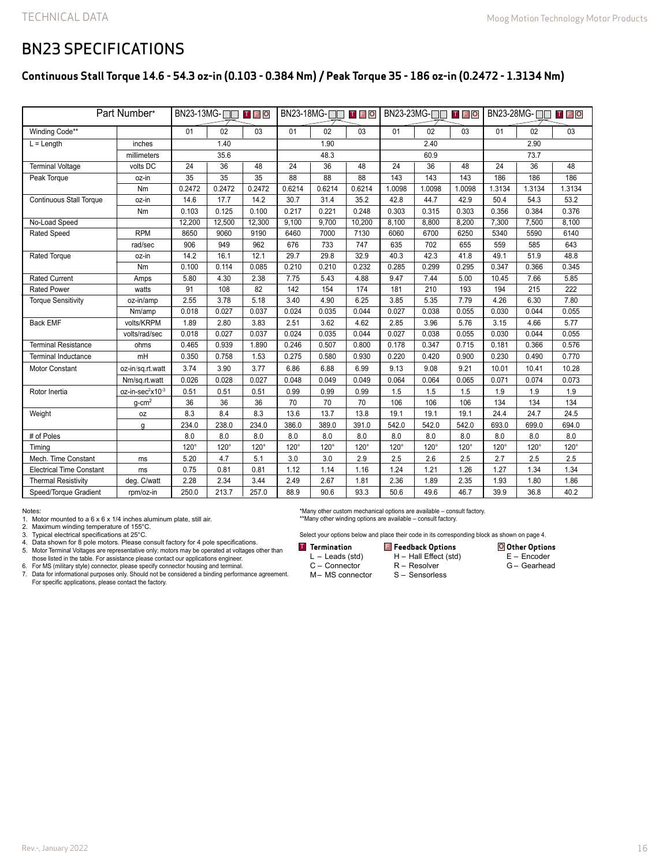### BN23 SPECIFICATIONS

#### **Continuous Stall Torque 14.6 - 54.3 oz-in (0.103 - 0.384 Nm) / Peak Torque 35 - 186 oz-in (0.2472 - 1.3134 Nm)**

| Part Number*                    |                              | $BN23-13MG$ - $\Box$<br>TFO |        |                 | $BN23-18MG$ - $\neg$<br>TFO |        |        | $BN23-23MG$ - $\Box$<br>TFO |        |        | BN23-28MG-□□<br>T F O |        |        |  |
|---------------------------------|------------------------------|-----------------------------|--------|-----------------|-----------------------------|--------|--------|-----------------------------|--------|--------|-----------------------|--------|--------|--|
| Winding Code**                  |                              | 01                          | 02     | 03              | 01                          | 02     | 03     | 01                          | 02     | 03     | 01                    | 02     | 03     |  |
| $L = Length$                    | inches                       |                             | 1.40   |                 |                             | 1.90   |        |                             | 2.40   |        |                       | 2.90   |        |  |
|                                 | millimeters                  | 35.6                        |        |                 | 48.3                        |        |        | 60.9                        |        |        | 73.7                  |        |        |  |
| <b>Terminal Voltage</b>         | volts DC                     | 24                          | 36     | 48              | 24                          | 36     | 48     | 24                          | 36     | 48     | 24                    | 36     | 48     |  |
| Peak Torque                     | oz-in                        | $\overline{35}$             | 35     | $\overline{35}$ | 88                          | 88     | 88     | 143                         | 143    | 143    | 186                   | 186    | 186    |  |
|                                 | Nm                           | 0.2472                      | 0.2472 | 0.2472          | 0.6214                      | 0.6214 | 0.6214 | 1.0098                      | 1.0098 | 1.0098 | 1.3134                | 1.3134 | 1.3134 |  |
| <b>Continuous Stall Torque</b>  | oz-in                        | 14.6                        | 17.7   | 14.2            | 30.7                        | 31.4   | 35.2   | 42.8                        | 44.7   | 42.9   | 50.4                  | 54.3   | 53.2   |  |
|                                 | Nm                           | 0.103                       | 0.125  | 0.100           | 0.217                       | 0.221  | 0.248  | 0.303                       | 0.315  | 0.303  | 0.356                 | 0.384  | 0.376  |  |
| No-Load Speed                   |                              | 12,200                      | 12,500 | 12,300          | 9,100                       | 9,700  | 10,200 | 8,100                       | 8,800  | 8,200  | 7,300                 | 7,500  | 8,100  |  |
| <b>Rated Speed</b>              | <b>RPM</b>                   | 8650                        | 9060   | 9190            | 6460                        | 7000   | 7130   | 6060                        | 6700   | 6250   | 5340                  | 5590   | 6140   |  |
|                                 | rad/sec                      | 906                         | 949    | 962             | 676                         | 733    | 747    | 635                         | 702    | 655    | 559                   | 585    | 643    |  |
| Rated Torque                    | oz-in                        | 14.2                        | 16.1   | 12.1            | 29.7                        | 29.8   | 32.9   | 40.3                        | 42.3   | 41.8   | 49.1                  | 51.9   | 48.8   |  |
|                                 | Nm                           | 0.100                       | 0.114  | 0.085           | 0.210                       | 0.210  | 0.232  | 0.285                       | 0.299  | 0.295  | 0.347                 | 0.366  | 0.345  |  |
| <b>Rated Current</b>            | Amps                         | 5.80                        | 4.30   | 2.38            | 7.75                        | 5.43   | 4.88   | 9.47                        | 7.44   | 5.00   | 10.45                 | 7.66   | 5.85   |  |
| <b>Rated Power</b>              | watts                        | 91                          | 108    | 82              | 142                         | 154    | 174    | 181                         | 210    | 193    | 194                   | 215    | 222    |  |
| <b>Torque Sensitivity</b>       | oz-in/amp                    | 2.55                        | 3.78   | 5.18            | 3.40                        | 4.90   | 6.25   | 3.85                        | 5.35   | 7.79   | 4.26                  | 6.30   | 7.80   |  |
|                                 | Nm/amp                       | 0.018                       | 0.027  | 0.037           | 0.024                       | 0.035  | 0.044  | 0.027                       | 0.038  | 0.055  | 0.030                 | 0.044  | 0.055  |  |
| <b>Back EMF</b>                 | volts/KRPM                   | 1.89                        | 2.80   | 3.83            | 2.51                        | 3.62   | 4.62   | 2.85                        | 3.96   | 5.76   | 3.15                  | 4.66   | 5.77   |  |
|                                 | volts/rad/sec                | 0.018                       | 0.027  | 0.037           | 0.024                       | 0.035  | 0.044  | 0.027                       | 0.038  | 0.055  | 0.030                 | 0.044  | 0.055  |  |
| <b>Terminal Resistance</b>      | ohms                         | 0.465                       | 0.939  | 1.890           | 0.246                       | 0.507  | 0.800  | 0.178                       | 0.347  | 0.715  | 0.181                 | 0.366  | 0.576  |  |
| <b>Terminal Inductance</b>      | mH                           | 0.350                       | 0.758  | 1.53            | 0.275                       | 0.580  | 0.930  | 0.220                       | 0.420  | 0.900  | 0.230                 | 0.490  | 0.770  |  |
| <b>Motor Constant</b>           | oz-in/sq.rt.watt             | 3.74                        | 3.90   | 3.77            | 6.86                        | 6.88   | 6.99   | 9.13                        | 9.08   | 9.21   | 10.01                 | 10.41  | 10.28  |  |
|                                 | Nm/sq.rt.watt                | 0.026                       | 0.028  | 0.027           | 0.048                       | 0.049  | 0.049  | 0.064                       | 0.064  | 0.065  | 0.071                 | 0.074  | 0.073  |  |
| Rotor Inertia                   | oz-in-sec <sup>2</sup> x10-3 | 0.51                        | 0.51   | 0.51            | 0.99                        | 0.99   | 0.99   | 1.5                         | 1.5    | 1.5    | 1.9                   | 1.9    | 1.9    |  |
|                                 | $q$ -cm <sup>2</sup>         | 36                          | 36     | 36              | 70                          | 70     | 70     | 106                         | 106    | 106    | 134                   | 134    | 134    |  |
| Weight                          | 0Z                           | 8.3                         | 8.4    | 8.3             | 13.6                        | 13.7   | 13.8   | 19.1                        | 19.1   | 19.1   | 24.4                  | 24.7   | 24.5   |  |
|                                 | g                            | 234.0                       | 238.0  | 234.0           | 386.0                       | 389.0  | 391.0  | 542.0                       | 542.0  | 542.0  | 693.0                 | 699.0  | 694.0  |  |
| # of Poles                      |                              | 8.0                         | 8.0    | 8.0             | 8.0                         | 8.0    | 8.0    | 8.0                         | 8.0    | 8.0    | 8.0                   | 8.0    | 8.0    |  |
| Timing                          |                              | 120°                        | 120°   | $120^\circ$     | 120°                        | 120°   | 120°   | 120°                        | 120°   | 120°   | 120°                  | 120°   | 120°   |  |
| Mech. Time Constant             | ms                           | 5.20                        | 4.7    | 5.1             | 3.0                         | 3.0    | 2.9    | 2.5                         | 2.6    | 2.5    | 2.7                   | 2.5    | 2.5    |  |
| <b>Electrical Time Constant</b> | ms                           | 0.75                        | 0.81   | 0.81            | 1.12                        | 1.14   | 1.16   | 1.24                        | 1.21   | 1.26   | 1.27                  | 1.34   | 1.34   |  |
| <b>Thermal Resistivity</b>      | deg. C/watt                  | 2.28                        | 2.34   | 3.44            | 2.49                        | 2.67   | 1.81   | 2.36                        | 1.89   | 2.35   | 1.93                  | 1.80   | 1.86   |  |
| Speed/Torque Gradient           | rpm/oz-in                    | 250.0                       | 213.7  | 257.0           | 88.9                        | 90.6   | 93.3   | 50.6                        | 49.6   | 46.7   | 39.9                  | 36.8   | 40.2   |  |

Notes:

1. Motor mounted to a 6 x 6 x 1/4 inches aluminum plate, still air.

2. Maximum winding temperature of 155°C. 3. Typical electrical specifications at 25°C.

4. Data shown for 8 pole motors. Please consult factory for 4 pole specifications.<br>5. Motor Terminal Voltages are representative only; motors may be operated at voltages other than<br>those listed in the table. For assist

6. For MS (military style) connector, please specify connector housing and terminal.

7. Data for informational purposes only. Should not be considered a binding performance agreement. For specific applications, please contact the factory.

\*Many other custom mechanical options are available – consult factory. \*\*Many other winding options are available – consult factory.

Select your options below and place their code in its corresponding block as shown on page 4.

**Termination F** Feedback Options O

M– MS connector

L – Leads (std) H – Hall Effect (std)

- C Connector R – Resolver
	- S Sensorless
- **Other Options** E – Encoder
- G Gearhead

Rev.-, January 2022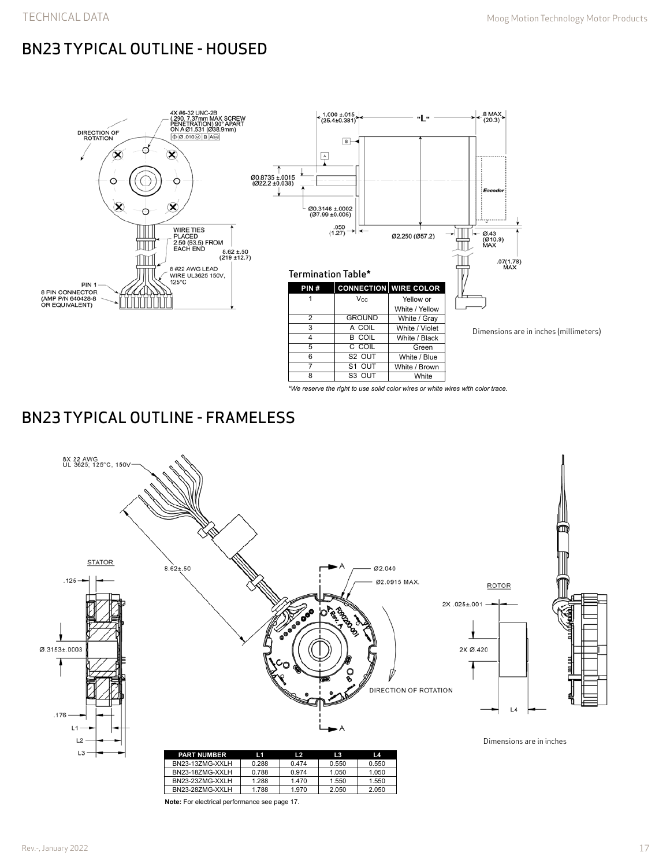# BN23 TYPICAL OUTLINE - HOUSED





Dimensions are in inches (millimeters)

*\*We reserve the right to use solid color wires or white wires with color trace.*

White / Brown White

7 S1 OUT 8 S3 OUT

## BN23 TYPICAL OUTLINE - FRAMELESS



**Note:** For electrical performance see page 17.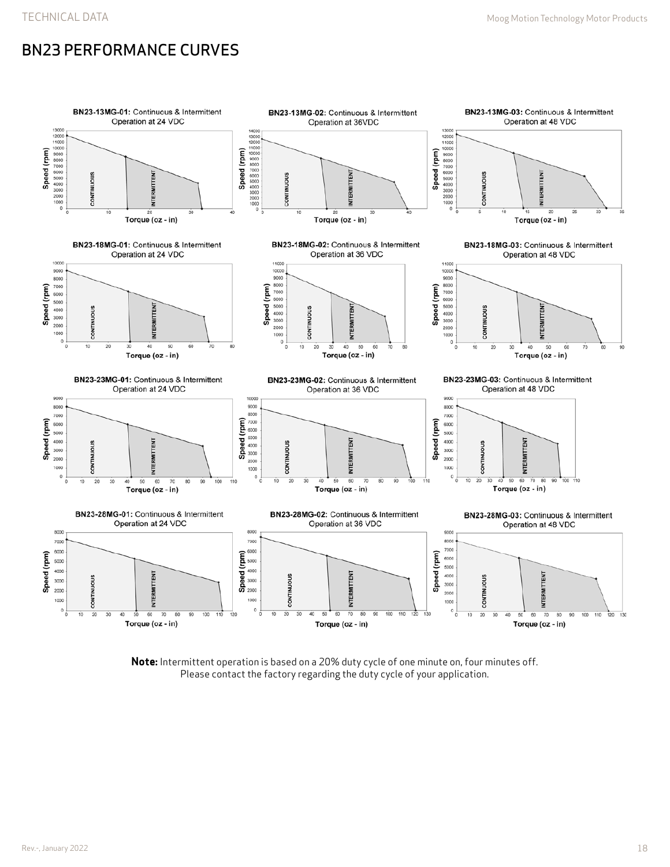# BN23 PERFORMANCE CURVES



**Note:** Intermittent operation is based on a 20% duty cycle of one minute on, four minutes off. Please contact the factory regarding the duty cycle of your application.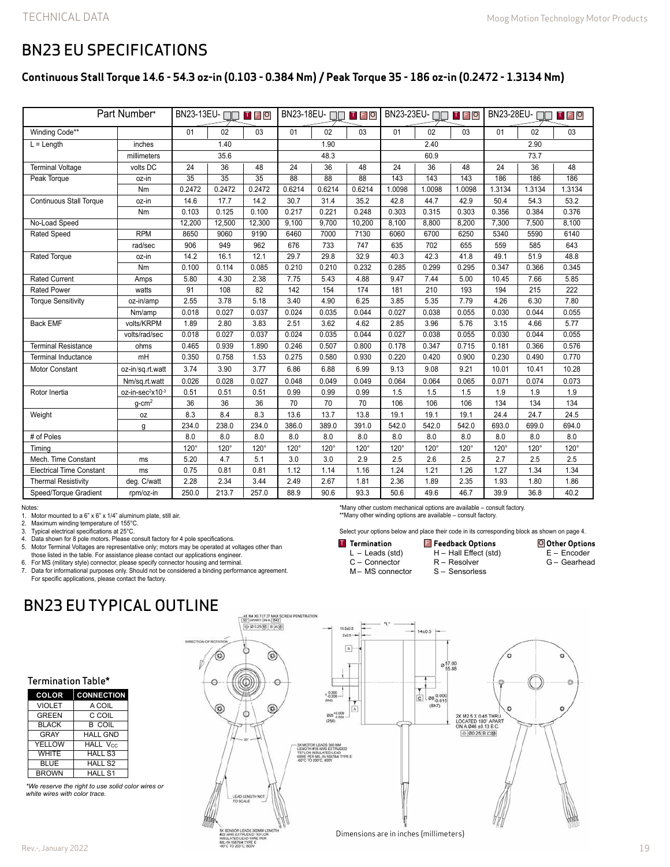### BN23 EU SPECIFICATIONS

#### **Continuous Stall Torque 14.6 - 54.3 oz-in (0.103 - 0.384 Nm) / Peak Torque 35 - 186 oz-in (0.2472 - 1.3134 Nm)**

| Part Number*                    |                              | BN23-13EU-<br>TFO |                 |                 | BN23-18EU-<br><b>TFO</b> |                 |                 | BN23-23EU-□□□□□□□ |             |             | BN23-28EU-<br>T F O |             |             |
|---------------------------------|------------------------------|-------------------|-----------------|-----------------|--------------------------|-----------------|-----------------|-------------------|-------------|-------------|---------------------|-------------|-------------|
| Winding Code**                  |                              | 01                | 02              | 03              | 01                       | 02              | 03              | 01                | 02          | 03          | 01                  | 02          | 03          |
| $L =$ Length<br>inches          |                              | 1.40              |                 |                 | 1.90                     |                 |                 | 2.40              |             |             | 2.90                |             |             |
|                                 | millimeters                  | 35.6              |                 | 48.3            |                          |                 | 60.9            |                   |             | 73.7        |                     |             |             |
| <b>Terminal Voltage</b>         | volts DC                     | 24                | 36              | 48              | 24                       | 36              | 48              | 24                | 36          | 48          | 24                  | 36          | 48          |
| Peak Torque                     | oz-in                        | $\overline{35}$   | $\overline{35}$ | $\overline{35}$ | $\overline{88}$          | $\overline{88}$ | $\overline{88}$ | 143               | 143         | 143         | 186                 | 186         | 186         |
|                                 | Nm                           | 0.2472            | 0.2472          | 0.2472          | 0.6214                   | 0.6214          | 0.6214          | 1.0098            | 1.0098      | 1.0098      | 1.3134              | 1.3134      | 1.3134      |
| <b>Continuous Stall Torque</b>  | oz-in                        | 14.6              | 17.7            | 14.2            | 30.7                     | 31.4            | 35.2            | 42.8              | 44.7        | 42.9        | 50.4                | 54.3        | 53.2        |
|                                 | Nm                           | 0.103             | 0.125           | 0.100           | 0.217                    | 0.221           | 0.248           | 0.303             | 0.315       | 0.303       | 0.356               | 0.384       | 0.376       |
| No-Load Speed                   |                              | 12,200            | 12,500          | 12,300          | 9,100                    | 9,700           | 10,200          | 8,100             | 8,800       | 8,200       | 7,300               | 7,500       | 8,100       |
| <b>Rated Speed</b>              | <b>RPM</b>                   | 8650              | 9060            | 9190            | 6460                     | 7000            | 7130            | 6060              | 6700        | 6250        | 5340                | 5590        | 6140        |
|                                 | rad/sec                      | 906               | 949             | 962             | 676                      | 733             | 747             | 635               | 702         | 655         | 559                 | 585         | 643         |
| Rated Torque                    | oz-in                        | 14.2              | 16.1            | 12.1            | 29.7                     | 29.8            | 32.9            | 40.3              | 42.3        | 41.8        | 49.1                | 51.9        | 48.8        |
|                                 | Nm                           | 0.100             | 0.114           | 0.085           | 0.210                    | 0.210           | 0.232           | 0.285             | 0.299       | 0.295       | 0.347               | 0.366       | 0.345       |
| <b>Rated Current</b>            | Amps                         | 5.80              | 4.30            | 2.38            | 7.75                     | 5.43            | 4.88            | 9.47              | 7.44        | 5.00        | 10.45               | 7.66        | 5.85        |
| <b>Rated Power</b>              | watts                        | 91                | 108             | 82              | 142                      | 154             | 174             | 181               | 210         | 193         | 194                 | 215         | 222         |
| <b>Torque Sensitivity</b>       | oz-in/amp                    | 2.55              | 3.78            | 5.18            | 3.40                     | 4.90            | 6.25            | 3.85              | 5.35        | 7.79        | 4.26                | 6.30        | 7.80        |
|                                 | Nm/amp                       | 0.018             | 0.027           | 0.037           | 0.024                    | 0.035           | 0.044           | 0.027             | 0.038       | 0.055       | 0.030               | 0.044       | 0.055       |
| <b>Back EMF</b>                 | volts/KRPM                   | 1.89              | 2.80            | 3.83            | 2.51                     | 3.62            | 4.62            | 2.85              | 3.96        | 5.76        | 3.15                | 4.66        | 5.77        |
|                                 | volts/rad/sec                | 0.018             | 0.027           | 0.037           | 0.024                    | 0.035           | 0.044           | 0.027             | 0.038       | 0.055       | 0.030               | 0.044       | 0.055       |
| <b>Terminal Resistance</b>      | ohms                         | 0.465             | 0.939           | 1.890           | 0.246                    | 0.507           | 0.800           | 0.178             | 0.347       | 0.715       | 0.181               | 0.366       | 0.576       |
| <b>Terminal Inductance</b>      | mH                           | 0.350             | 0.758           | 1.53            | 0.275                    | 0.580           | 0.930           | 0.220             | 0.420       | 0.900       | 0.230               | 0.490       | 0.770       |
| <b>Motor Constant</b>           | oz-in/sq.rt.watt             | 3.74              | 3.90            | 3.77            | 6.86                     | 6.88            | 6.99            | 9.13              | 9.08        | 9.21        | 10.01               | 10.41       | 10.28       |
|                                 | Nm/sq.rt.watt                | 0.026             | 0.028           | 0.027           | 0.048                    | 0.049           | 0.049           | 0.064             | 0.064       | 0.065       | 0.071               | 0.074       | 0.073       |
| Rotor Inertia                   | oz-in-sec <sup>2</sup> x10-3 | 0.51              | 0.51            | 0.51            | 0.99                     | 0.99            | 0.99            | 1.5               | 1.5         | 1.5         | 1.9                 | 1.9         | 1.9         |
|                                 | $g$ -cm <sup>2</sup>         | 36                | 36              | 36              | 70                       | 70              | 70              | 106               | 106         | 106         | 134                 | 134         | 134         |
| Weight                          | 0Z                           | 8.3               | 8.4             | 8.3             | 13.6                     | 13.7            | 13.8            | 19.1              | 19.1        | 19.1        | 24.4                | 24.7        | 24.5        |
|                                 | q                            | 234.0             | 238.0           | 234.0           | 386.0                    | 389.0           | 391.0           | 542.0             | 542.0       | 542.0       | 693.0               | 699.0       | 694.0       |
| # of Poles                      |                              | 8.0               | 8.0             | 8.0             | 8.0                      | 8.0             | 8.0             | 8.0               | 8.0         | 8.0         | 8.0                 | 8.0         | 8.0         |
| Timing                          |                              | $120^\circ$       | $120^\circ$     | $120^\circ$     | $120^\circ$              | $120^\circ$     | $120^\circ$     | $120^\circ$       | $120^\circ$ | $120^\circ$ | $120^\circ$         | $120^\circ$ | $120^\circ$ |
| Mech. Time Constant             | ms                           | 5.20              | 4.7             | 5.1             | 3.0                      | 3.0             | 2.9             | 2.5               | 2.6         | 2.5         | 2.7                 | 2.5         | 2.5         |
| <b>Electrical Time Constant</b> | ms                           | 0.75              | 0.81            | 0.81            | 1.12                     | 1.14            | 1.16            | 1.24              | 1.21        | 1.26        | 1.27                | 1.34        | 1.34        |
| <b>Thermal Resistivity</b>      | deg. C/watt                  | 2.28              | 2.34            | 3.44            | 2.49                     | 2.67            | 1.81            | 2.36              | 1.89        | 2.35        | 1.93                | 1.80        | 1.86        |
| Speed/Torque Gradient           | rpm/oz-in                    | 250.0             | 213.7           | 257.0           | 88.9                     | 90.6            | 93.3            | 50.6              | 49.6        | 46.7        | 39.9                | 36.8        | 40.2        |

Notes:

1. Motor mounted to a  $6" \times 6" \times 1/4"$  aluminum plate, still air.<br>2. Maximum winding temperature of 155°C.

2. Maximum winding temperature of 155°C.<br>3. Typical electrical specifications at 25°C.

3. Typical electrical specifications at 25°C.<br>4. Data shown for 8 pole motors. Please co<br>5. Motor Terminal Voltages are represental 4. Data shown for 8 pole motors. Please consult factory for 4 pole specifications. 5. Motor Terminal Voltages are representative only; motors may be operated at voltages other than those listed in the table. For assistance please contact our applications engineer.

6. For MS (military style) connector, please specify connector housing and terminal.

7. Data for informational purposes only. Should not be considered a binding performance agreement. For specific applications, please contact the factory.

### BN23 EU TYPICAL OUTLINE



| <b>COLOR</b>  | <b>CONNECTION</b> |
|---------------|-------------------|
| <b>VIOLET</b> | A COIL            |
| <b>GREEN</b>  | C COIL            |
| <b>BLACK</b>  | <b>B COIL</b>     |
| GRAY          | <b>HALL GND</b>   |
| YELLOW        | <b>HALL Vcc</b>   |
| <b>WHITE</b>  | <b>HALL S3</b>    |
| <b>BLUE</b>   | <b>HALL S2</b>    |
| <b>BROWN</b>  | <b>HALL S1</b>    |

*\*We reserve the right to use solid color wires or white wires with color trace.*

Rev.-, January 2022

\*\*Many other winding options are available – consult factory.

\*Many other custom mechanical options are available – consult factory.

Select your options below and place their code in its corresponding block as shown on page 4.

**Termination** L – Leads (std) C – Connector **FREE OPTIONS OF STATE OF STATE OF STATE OF STATE OF STATE OF STATE OF STATE OF STATE OF STATE OF STATE OF STATE** 

M– MS connector H – Hall Effect (std) R – Resolver S – Sensorless

**Other Options** E – Encoder G – Gearhead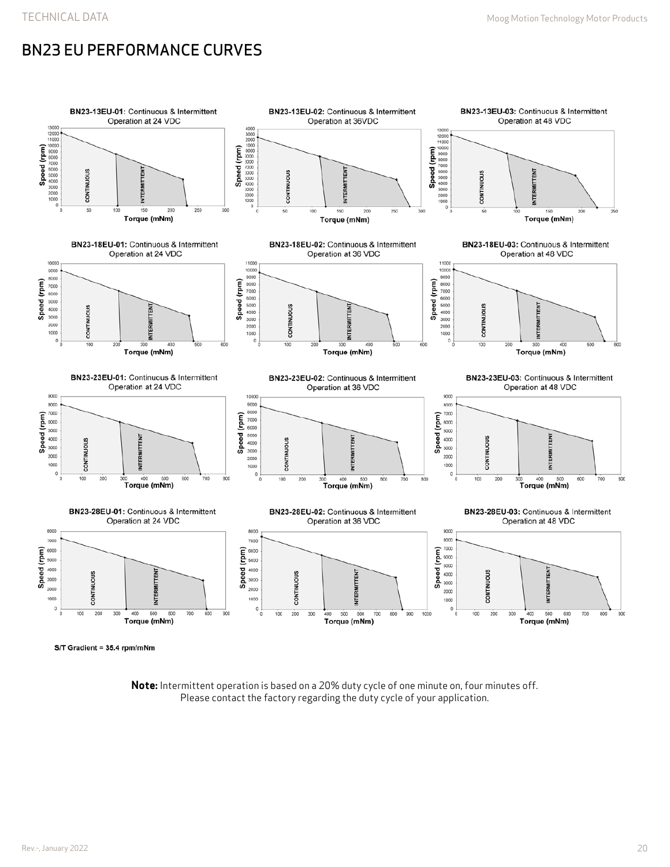# BN23 EU PERFORMANCE CURVES



**Note:** Intermittent operation is based on a 20% duty cycle of one minute on, four minutes off. Please contact the factory regarding the duty cycle of your application.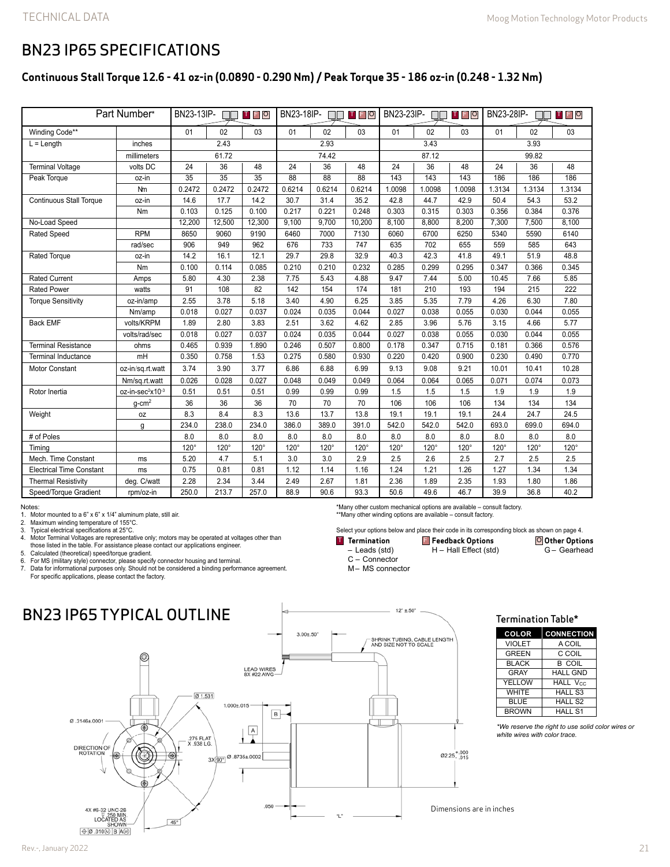### BN23 IP65 SPECIFICATIONS

#### **Continuous Stall Torque 12.6 - 41 oz-in (0.0890 - 0.290 Nm) / Peak Torque 35 - 186 oz-in (0.248 - 1.32 Nm)**

| Part Number*                    |                              | BN23-13IP-<br>TFO |                 |                 | BN23-18IP-<br>TEO |                 |                 | BN23-23IP-<br>TFO |        |             | BN23-28IP-<br>T F O |        |        |
|---------------------------------|------------------------------|-------------------|-----------------|-----------------|-------------------|-----------------|-----------------|-------------------|--------|-------------|---------------------|--------|--------|
| Winding Code**                  |                              | 01                | 02              | 03              | 01                | 02              | 03              | 01                | 02     | 03          | 01                  | 02     | 03     |
| $L = Length$<br>inches          |                              | 2.43              |                 |                 | 2.93              |                 |                 | 3.43              |        |             | 3.93                |        |        |
|                                 | millimeters                  | 61.72             |                 |                 | 74.42             |                 |                 | 87.12             |        |             | 99.82               |        |        |
| <b>Terminal Voltage</b>         | volts DC                     | 24                | 36              | 48              | 24                | 36              | 48              | 24                | 36     | 48          | 24                  | 36     | 48     |
| Peak Torque                     | oz-in                        | $\overline{35}$   | $\overline{35}$ | $\overline{35}$ | $\overline{88}$   | $\overline{88}$ | $\overline{88}$ | 143               | 143    | 143         | 186                 | 186    | 186    |
|                                 | Nm                           | 0.2472            | 0.2472          | 0.2472          | 0.6214            | 0.6214          | 0.6214          | 1.0098            | 1.0098 | 1.0098      | 1.3134              | 1.3134 | 1.3134 |
| <b>Continuous Stall Torque</b>  | oz-in                        | 14.6              | 17.7            | 14.2            | 30.7              | 31.4            | 35.2            | 42.8              | 44.7   | 42.9        | 50.4                | 54.3   | 53.2   |
|                                 | Nm                           | 0.103             | 0.125           | 0.100           | 0.217             | 0.221           | 0.248           | 0.303             | 0.315  | 0.303       | 0.356               | 0.384  | 0.376  |
| No-Load Speed                   |                              | 12,200            | 12,500          | 12,300          | 9.100             | 9.700           | 10,200          | 8.100             | 8,800  | 8,200       | 7,300               | 7,500  | 8.100  |
| <b>Rated Speed</b>              | <b>RPM</b>                   | 8650              | 9060            | 9190            | 6460              | 7000            | 7130            | 6060              | 6700   | 6250        | 5340                | 5590   | 6140   |
|                                 | rad/sec                      | 906               | 949             | 962             | 676               | 733             | 747             | 635               | 702    | 655         | 559                 | 585    | 643    |
| <b>Rated Torque</b>             | oz-in                        | 14.2              | 16.1            | 12.1            | 29.7              | 29.8            | 32.9            | 40.3              | 42.3   | 41.8        | 49.1                | 51.9   | 48.8   |
|                                 | Nm                           | 0.100             | 0.114           | 0.085           | 0.210             | 0.210           | 0.232           | 0.285             | 0.299  | 0.295       | 0.347               | 0.366  | 0.345  |
| <b>Rated Current</b>            | Amps                         | 5.80              | 4.30            | 2.38            | 7.75              | 5.43            | 4.88            | 9.47              | 7.44   | 5.00        | 10.45               | 7.66   | 5.85   |
| <b>Rated Power</b>              | watts                        | 91                | 108             | 82              | 142               | 154             | 174             | 181               | 210    | 193         | 194                 | 215    | 222    |
| <b>Torque Sensitivity</b>       | oz-in/amp                    | 2.55              | 3.78            | 5.18            | 3.40              | 4.90            | 6.25            | 3.85              | 5.35   | 7.79        | 4.26                | 6.30   | 7.80   |
|                                 | Nm/amp                       | 0.018             | 0.027           | 0.037           | 0.024             | 0.035           | 0.044           | 0.027             | 0.038  | 0.055       | 0.030               | 0.044  | 0.055  |
| <b>Back EMF</b>                 | volts/KRPM                   | 1.89              | 2.80            | 3.83            | 2.51              | 3.62            | 4.62            | 2.85              | 3.96   | 5.76        | 3.15                | 4.66   | 5.77   |
|                                 | volts/rad/sec                | 0.018             | 0.027           | 0.037           | 0.024             | 0.035           | 0.044           | 0.027             | 0.038  | 0.055       | 0.030               | 0.044  | 0.055  |
| <b>Terminal Resistance</b>      | ohms                         | 0.465             | 0.939           | 1.890           | 0.246             | 0.507           | 0.800           | 0.178             | 0.347  | 0.715       | 0.181               | 0.366  | 0.576  |
| <b>Terminal Inductance</b>      | mH                           | 0.350             | 0.758           | 1.53            | 0.275             | 0.580           | 0.930           | 0.220             | 0.420  | 0.900       | 0.230               | 0.490  | 0.770  |
| <b>Motor Constant</b>           | oz-in/sq.rt.watt             | 3.74              | 3.90            | 3.77            | 6.86              | 6.88            | 6.99            | 9.13              | 9.08   | 9.21        | 10.01               | 10.41  | 10.28  |
|                                 | Nm/sq.rt.watt                | 0.026             | 0.028           | 0.027           | 0.048             | 0.049           | 0.049           | 0.064             | 0.064  | 0.065       | 0.071               | 0.074  | 0.073  |
| Rotor Inertia                   | oz-in-sec <sup>2</sup> x10-3 | 0.51              | 0.51            | 0.51            | 0.99              | 0.99            | 0.99            | 1.5               | 1.5    | 1.5         | 1.9                 | 1.9    | 1.9    |
|                                 | $q$ -cm <sup>2</sup>         | 36                | 36              | 36              | 70                | 70              | 70              | 106               | 106    | 106         | 134                 | 134    | 134    |
| Weight                          | 0Z                           | 8.3               | 8.4             | 8.3             | 13.6              | 13.7            | 13.8            | 19.1              | 19.1   | 19.1        | 24.4                | 24.7   | 24.5   |
|                                 | q                            | 234.0             | 238.0           | 234.0           | 386.0             | 389.0           | 391.0           | 542.0             | 542.0  | 542.0       | 693.0               | 699.0  | 694.0  |
| # of Poles                      |                              | 8.0               | 8.0             | 8.0             | 8.0               | 8.0             | 8.0             | 8.0               | 8.0    | 8.0         | 8.0                 | 8.0    | 8.0    |
| Timing                          |                              | $120^\circ$       | 120°            | $120^\circ$     | $120^\circ$       | 120°            | 120°            | $120^\circ$       | 120°   | $120^\circ$ | 120°                | 120°   | 120°   |
| Mech. Time Constant             | ms                           | 5.20              | 4.7             | 5.1             | 3.0               | 3.0             | 2.9             | 2.5               | 2.6    | 2.5         | 2.7                 | 2.5    | 2.5    |
| <b>Electrical Time Constant</b> | ms                           | 0.75              | 0.81            | 0.81            | 1.12              | 1.14            | 1.16            | 1.24              | 1.21   | 1.26        | 1.27                | 1.34   | 1.34   |
| <b>Thermal Resistivity</b>      | deg. C/watt                  | 2.28              | 2.34            | 3.44            | 2.49              | 2.67            | 1.81            | 2.36              | 1.89   | 2.35        | 1.93                | 1.80   | 1.86   |
| Speed/Torque Gradient           | rpm/oz-in                    | 250.0             | 213.7           | 257.0           | 88.9              | 90.6            | 93.3            | 50.6              | 49.6   | 46.7        | 39.9                | 36.8   | 40.2   |

Notes:

1. Motor mounted to a  $6" \times 6" \times 1/4"$  aluminum plate, still air.<br>2. Maximum winding temperature of 155°C.

2. Maximum winding temperature of 155°C.<br>3. Typical electrical specifications at 25°C.

3. Typical electrical specifications at 25°C. 4. Motor Terminal Voltages are representative only; motors may be operated at voltages other than those listed in the table. For assistance please contact our applications engineer.

5. Calculated (theoretical) speed/torque gradient. 6. For MS (military style) connector, please specify connector housing and terminal.

7. Data for informational purposes only. Should not be considered a binding performance agreement. For specific applications, please contact the factory.

### BN23 IP65 TYPICAL OUTLINE



\*\*Many other winding options are available – consult factory.

\*Many other custom mechanical options are available – consult factory.

**Termination** – Leads (std) C – Connector

M– MS connector

Select your options below and place their code in its corresponding block as shown on page 4. **Other Options Feedback Options** T F O

H – Hall Effect (std)

G – Gearhead

Termination Table\*

*\*We reserve the right to use solid color wires or white wires with color trace.*

**COLOR CONNECTION** VIOLET | A COIL GREEN C COIL BLACK B COIL<br>GRAY HALL GN GRAY HALL GND<br>YELLOW HALL Vcc  $YELLOW$  HALL V $_{\rm CC}$ <br>WHITE HALL S3 HALL S3 BLUE HALL S2<br>BROWN HALL S1 HALL S1